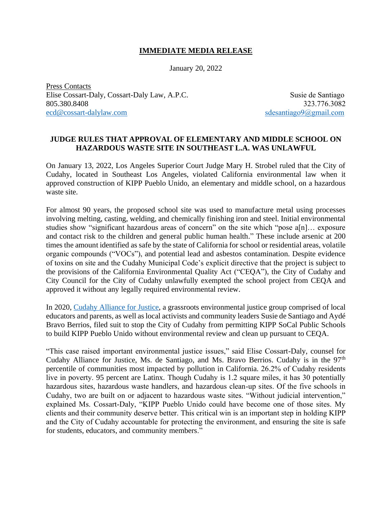## **IMMEDIATE MEDIA RELEASE**

January 20, 2022

Press Contacts Elise Cossart-Daly, Cossart-Daly Law, A.P.C. Susie de Santiago 805.380.8408 323.776.3082 [ecd@cossart-dalylaw.com](mailto:ecd@cossart-dalylaw.com) [sdesantiago9@gmail.com](mailto:sdesantiago9@gmail.com)

## **JUDGE RULES THAT APPROVAL OF ELEMENTARY AND MIDDLE SCHOOL ON HAZARDOUS WASTE SITE IN SOUTHEAST L.A. WAS UNLAWFUL**

On January 13, 2022, Los Angeles Superior Court Judge Mary H. Strobel ruled that the City of Cudahy, located in Southeast Los Angeles, violated California environmental law when it approved construction of KIPP Pueblo Unido, an elementary and middle school, on a hazardous waste site.

For almost 90 years, the proposed school site was used to manufacture metal using processes involving melting, casting, welding, and chemically finishing iron and steel. Initial environmental studies show "significant hazardous areas of concern" on the site which "pose a[n]… exposure and contact risk to the children and general public human health." These include arsenic at 200 times the amount identified as safe by the state of California for school or residential areas, volatile organic compounds ("VOCs"), and potential lead and asbestos contamination. Despite evidence of toxins on site and the Cudahy Municipal Code's explicit directive that the project is subject to the provisions of the California Environmental Quality Act ("CEQA"), the City of Cudahy and City Council for the City of Cudahy unlawfully exempted the school project from CEQA and approved it without any legally required environmental review.

In 2020, [Cudahy Alliance for Justice,](https://www.facebook.com/cudahyallianceforjustice/) a grassroots environmental justice group comprised of local educators and parents, as well as local activists and community leaders Susie de Santiago and Aydé Bravo Berrios, filed suit to stop the City of Cudahy from permitting KIPP SoCal Public Schools to build KIPP Pueblo Unido without environmental review and clean up pursuant to CEQA.

"This case raised important environmental justice issues," said Elise Cossart-Daly, counsel for Cudahy Alliance for Justice, Ms. de Santiago, and Ms. Bravo Berrios. Cudahy is in the  $97<sup>th</sup>$ percentile of communities most impacted by pollution in California. 26.2% of Cudahy residents live in poverty. 95 percent are Latinx. Though Cudahy is 1.2 square miles, it has 30 potentially hazardous sites, hazardous waste handlers, and hazardous clean-up sites. Of the five schools in Cudahy, two are built on or adjacent to hazardous waste sites. "Without judicial intervention," explained Ms. Cossart-Daly, "KIPP Pueblo Unido could have become one of those sites. My clients and their community deserve better. This critical win is an important step in holding KIPP and the City of Cudahy accountable for protecting the environment, and ensuring the site is safe for students, educators, and community members."